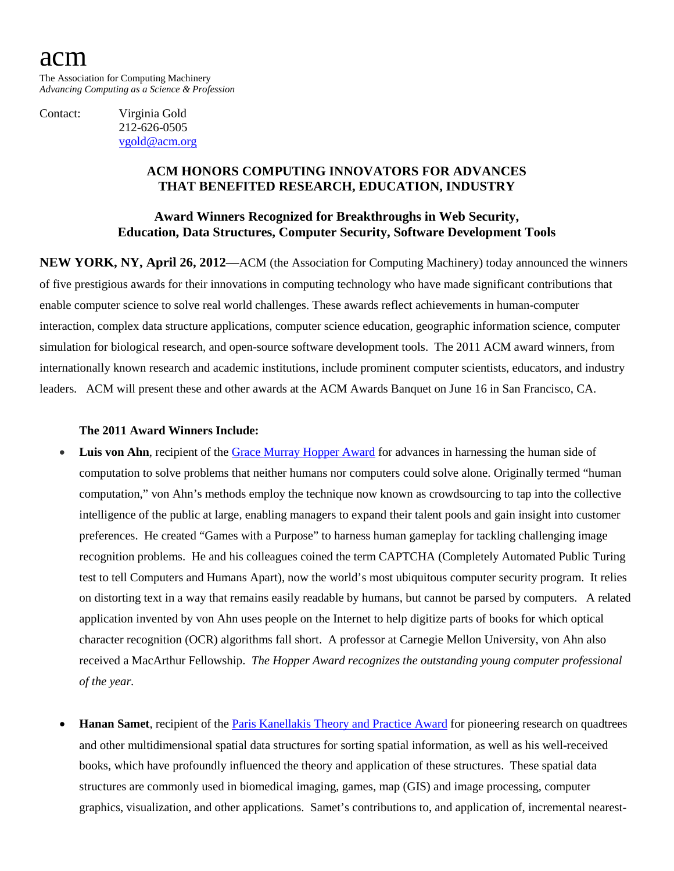# acm

The Association for Computing Machinery *Advancing Computing as a Science & Profession*

Contact: Virginia Gold 212-626-0505 [vgold@acm.org](mailto:v_gold@acm.org)

### **ACM HONORS COMPUTING INNOVATORS FOR ADVANCES THAT BENEFITED RESEARCH, EDUCATION, INDUSTRY**

## **Award Winners Recognized for Breakthroughs in Web Security, Education, Data Structures, Computer Security, Software Development Tools**

**NEW YORK, NY, April 26, 2012**—ACM (the Association for Computing Machinery) today announced the winners of five prestigious awards for their innovations in computing technology who have made significant contributions that enable computer science to solve real world challenges. These awards reflect achievements in human-computer interaction, complex data structure applications, computer science education, geographic information science, computer simulation for biological research, and open-source software development tools. The 2011 ACM award winners, from internationally known research and academic institutions, include prominent computer scientists, educators, and industry leaders. ACM will present these and other awards at the ACM Awards Banquet on June 16 in San Francisco, CA.

#### **The 2011 Award Winners Include:**

- **Luis von Ahn**, recipient of the [Grace Murray Hopper Award](http://awards.acm.org/hopper/) for advances in harnessing the human side of computation to solve problems that neither humans nor computers could solve alone. Originally termed "human computation," von Ahn's methods employ the technique now known as crowdsourcing to tap into the collective intelligence of the public at large, enabling managers to expand their talent pools and gain insight into customer preferences. He created "Games with a Purpose" to harness human gameplay for tackling challenging image recognition problems. He and his colleagues coined the term CAPTCHA (Completely Automated Public Turing test to tell Computers and Humans Apart), now the world's most ubiquitous computer security program. It relies on distorting text in a way that remains easily readable by humans, but cannot be parsed by computers. A related application invented by von Ahn uses people on the Internet to help digitize parts of books for which optical character recognition (OCR) algorithms fall short. A professor at Carnegie Mellon University, von Ahn also received a MacArthur Fellowship. *The Hopper Award recognizes the outstanding young computer professional of the year.*
- **Hanan Samet**, recipient of th[e Paris Kanellakis Theory and Practice Award](http://awards.acm.org/kanellakis/) for pioneering research on quadtrees and other multidimensional spatial data structures for sorting spatial information, as well as his well-received books, which have profoundly influenced the theory and application of these structures. These spatial data structures are commonly used in biomedical imaging, games, map (GIS) and image processing, computer graphics, visualization, and other applications. Samet's contributions to, and application of, incremental nearest-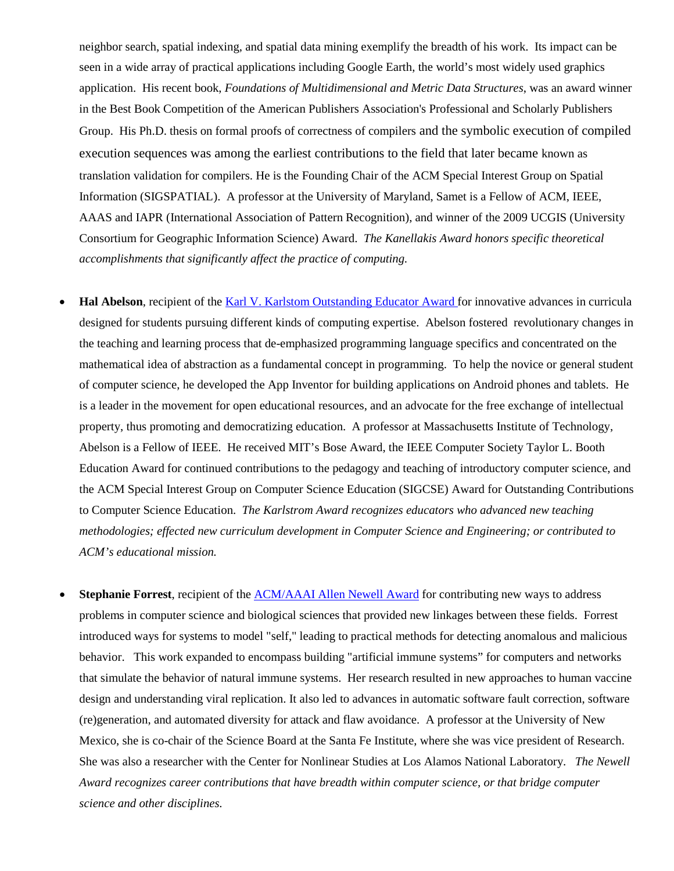neighbor search, spatial indexing, and spatial data mining exemplify the breadth of his work. Its impact can be seen in a wide array of practical applications including Google Earth, the world's most widely used graphics application. His recent book, *Foundations of Multidimensional and Metric Data Structures*, was an award winner in the Best Book Competition of the American Publishers Association's Professional and Scholarly Publishers Group. His Ph.D. thesis on formal proofs of correctness of compilers and the symbolic execution of compiled execution sequences was among the earliest contributions to the field that later became known as translation validation for compilers. He is the Founding Chair of the ACM Special Interest Group on Spatial Information (SIGSPATIAL). A professor at the University of Maryland, Samet is a Fellow of ACM, IEEE, AAAS and IAPR (International Association of Pattern Recognition), and winner of the 2009 UCGIS (University Consortium for Geographic Information Science) Award. *The Kanellakis Award honors specific theoretical accomplishments that significantly affect the practice of computing.*

- **Hal Abelson**, recipient of the [Karl V. Karlstom Outstanding Educator Award](http://awards.acm.org/karlstrom/) for innovative advances in curricula designed for students pursuing different kinds of computing expertise. Abelson fostered revolutionary changes in the teaching and learning process that de-emphasized programming language specifics and concentrated on the mathematical idea of abstraction as a fundamental concept in programming. To help the novice or general student of computer science, he developed the App Inventor for building applications on Android phones and tablets. He is a leader in the movement for open educational resources, and an advocate for the free exchange of intellectual property, thus promoting and democratizing education. A professor at Massachusetts Institute of Technology, Abelson is a Fellow of IEEE. He received MIT's Bose Award, the IEEE Computer Society Taylor L. Booth Education Award for continued contributions to the pedagogy and teaching of introductory computer science, and the ACM Special Interest Group on Computer Science Education (SIGCSE) Award for Outstanding Contributions to Computer Science Education. *The Karlstrom Award recognizes educators who advanced new teaching methodologies; effected new curriculum development in Computer Science and Engineering; or contributed to ACM's educational mission.*
- **Stephanie Forrest**, recipient of the [ACM/AAAI Allen Newell Award](http://awards.acm.org/newell/) for contributing new ways to address problems in computer science and biological sciences that provided new linkages between these fields. Forrest introduced ways for systems to model "self," leading to practical methods for detecting anomalous and malicious behavior. This work expanded to encompass building "artificial immune systems" for computers and networks that simulate the behavior of natural immune systems. Her research resulted in new approaches to human vaccine design and understanding viral replication. It also led to advances in automatic software fault correction, software (re)generation, and automated diversity for attack and flaw avoidance. A professor at the University of New Mexico, she is co-chair of the Science Board at the Santa Fe Institute, where she was vice president of Research. She was also a researcher with the Center for Nonlinear Studies at Los Alamos National Laboratory. *The Newell Award recognizes career contributions that have breadth within computer science, or that bridge computer science and other disciplines.*